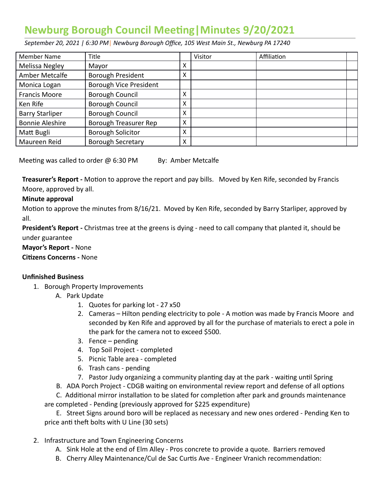# **Newburg Borough Council Meeting | Minutes 9/20/2021**

 *September 20, 2021 | 6:30 PM* | *Newburg Borough Office, 105 West Main St., Newburg PA 17240* 

| <b>Member Name</b>     | Title                         |   | Visitor | Affiliation |  |
|------------------------|-------------------------------|---|---------|-------------|--|
| Melissa Negley         | Mayor                         | X |         |             |  |
| Amber Metcalfe         | <b>Borough President</b>      | X |         |             |  |
| Monica Logan           | <b>Borough Vice President</b> |   |         |             |  |
| <b>Francis Moore</b>   | <b>Borough Council</b>        | X |         |             |  |
| Ken Rife               | <b>Borough Council</b>        | Χ |         |             |  |
| <b>Barry Starliper</b> | <b>Borough Council</b>        | X |         |             |  |
| <b>Bonnie Aleshire</b> | Borough Treasurer Rep         | X |         |             |  |
| Matt Bugli             | <b>Borough Solicitor</b>      | X |         |             |  |
| Maureen Reid           | <b>Borough Secretary</b>      | X |         |             |  |

Meeting was called to order  $@6:30$  PM By: Amber Metcalfe

**Treasurer's Report -** Motion to approve the report and pay bills. Moved by Ken Rife, seconded by Francis Moore, approved by all.

# **Minute approval**

Motion to approve the minutes from 8/16/21. Moved by Ken Rife, seconded by Barry Starliper, approved by all.

 **President's Report -** Christmas tree at the greens is dying - need to call company that planted it, should be under guarantee

 **Mayor's Report -** None

**Citizens Concerns - None** 

# **Unfinished Business**

- 1. Borough Property Improvements
	- A. Park Update
		- 1. Quotes for parking lot 27 x50
		- 2. Cameras Hilton pending electricity to pole A motion was made by Francis Moore and seconded by Ken Rife and approved by all for the purchase of materials to erect a pole in the park for the camera not to exceed \$500.
		- 3. Fence pending
		- 4. Top Soil Project completed
		- 5. Picnic Table area completed
		- 6. Trash cans pending
		- 7. Pastor Judy organizing a community planting day at the park waiting until Spring
	- B. ADA Porch Project CDGB waiting on environmental review report and defense of all options

C. Additional mirror installation to be slated for completion after park and grounds maintenance are completed - Pending (previously approved for \$225 expenditure)

 E. Street Signs around boro will be replaced as necessary and new ones ordered - Pending Ken to price anti theft bolts with U Line (30 sets)

- 2. Infrastructure and Town Engineering Concerns
	- A. Sink Hole at the end of Elm Alley Pros concrete to provide a quote. Barriers removed
	- B. Cherry Alley Maintenance/Cul de Sac Curtis Ave Engineer Vranich recommendation: